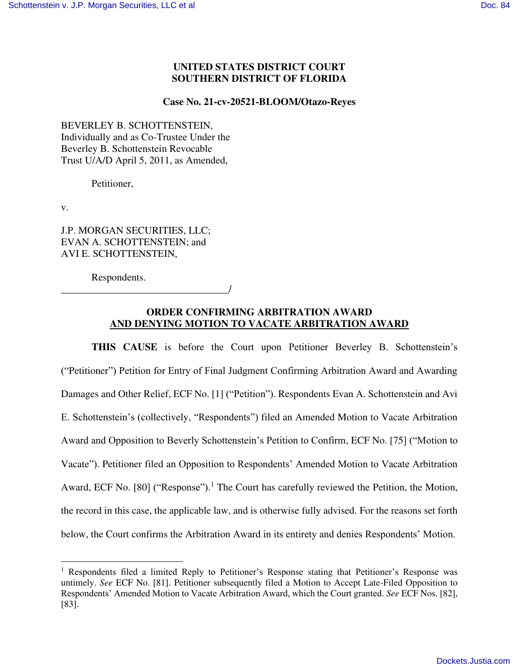## **UNITED STATES DISTRICT COURT SOUTHERN DISTRICT OF FLORIDA**

#### **Case No. 21-cv-20521-BLOOM/Otazo-Reyes**

BEVERLEY B. SCHOTTENSTEIN, Individually and as Co-Trustee Under the Beverley B. Schottenstein Revocable Trust U/A/D April 5, 2011, as Amended,

Petitioner,

v.

J.P. MORGAN SECURITIES, LLC; EVAN A. SCHOTTENSTEIN; and AVI E. SCHOTTENSTEIN,

Respondents.

\_\_\_\_\_\_\_\_\_\_\_\_\_\_\_\_\_\_\_\_\_\_\_\_\_\_\_\_\_\_\_\_\_/

## **ORDER CONFIRMING ARBITRATION AWARD AND DENYING MOTION TO VACATE ARBITRATION AWARD**

**THIS CAUSE** is before the Court upon Petitioner Beverley B. Schottenstein's ("Petitioner") Petition for Entry of Final Judgment Confirming Arbitration Award and Awarding Damages and Other Relief, ECF No. [1] ("Petition"). Respondents Evan A. Schottenstein and Avi E. Schottenstein's (collectively, "Respondents") filed an Amended Motion to Vacate Arbitration Award and Opposition to Beverly Schottenstein's Petition to Confirm, ECF No. [75] ("Motion to Vacate"). Petitioner filed an Opposition to Respondents' Amended Motion to Vacate Arbitration Award, ECF No. [80] ("Response").<sup>1</sup> The Court has carefully reviewed the Petition, the Motion, the record in this case, the applicable law, and is otherwise fully advised. For the reasons set forth below, the Court confirms the Arbitration Award in its entirety and denies Respondents' Motion.

<sup>&</sup>lt;sup>1</sup> Respondents filed a limited Reply to Petitioner's Response stating that Petitioner's Response was untimely. *See* ECF No. [81]. Petitioner subsequently filed a Motion to Accept Late-Filed Opposition to Respondents' Amended Motion to Vacate Arbitration Award, which the Court granted. *See* ECF Nos. [82], [83].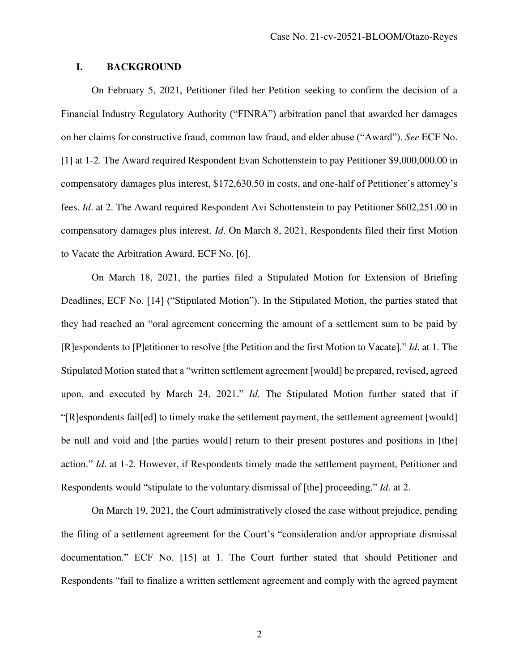## **I. BACKGROUND**

On February 5, 2021, Petitioner filed her Petition seeking to confirm the decision of a Financial Industry Regulatory Authority ("FINRA") arbitration panel that awarded her damages on her claims for constructive fraud, common law fraud, and elder abuse ("Award"). *See* ECF No. [1] at 1-2. The Award required Respondent Evan Schottenstein to pay Petitioner \$9,000,000.00 in compensatory damages plus interest, \$172,630.50 in costs, and one-half of Petitioner's attorney's fees. *Id*. at 2. The Award required Respondent Avi Schottenstein to pay Petitioner \$602,251.00 in compensatory damages plus interest. *Id*. On March 8, 2021, Respondents filed their first Motion to Vacate the Arbitration Award, ECF No. [6].

On March 18, 2021, the parties filed a Stipulated Motion for Extension of Briefing Deadlines, ECF No. [14] ("Stipulated Motion"). In the Stipulated Motion, the parties stated that they had reached an "oral agreement concerning the amount of a settlement sum to be paid by [R]espondents to [P]etitioner to resolve [the Petition and the first Motion to Vacate]." *Id*. at 1. The Stipulated Motion stated that a "written settlement agreement [would] be prepared, revised, agreed upon, and executed by March 24, 2021." *Id.* The Stipulated Motion further stated that if "[R]espondents fail[ed] to timely make the settlement payment, the settlement agreement [would] be null and void and [the parties would] return to their present postures and positions in [the] action." *Id*. at 1-2. However, if Respondents timely made the settlement payment, Petitioner and Respondents would "stipulate to the voluntary dismissal of [the] proceeding." *Id*. at 2.

On March 19, 2021, the Court administratively closed the case without prejudice, pending the filing of a settlement agreement for the Court's "consideration and/or appropriate dismissal documentation." ECF No. [15] at 1. The Court further stated that should Petitioner and Respondents "fail to finalize a written settlement agreement and comply with the agreed payment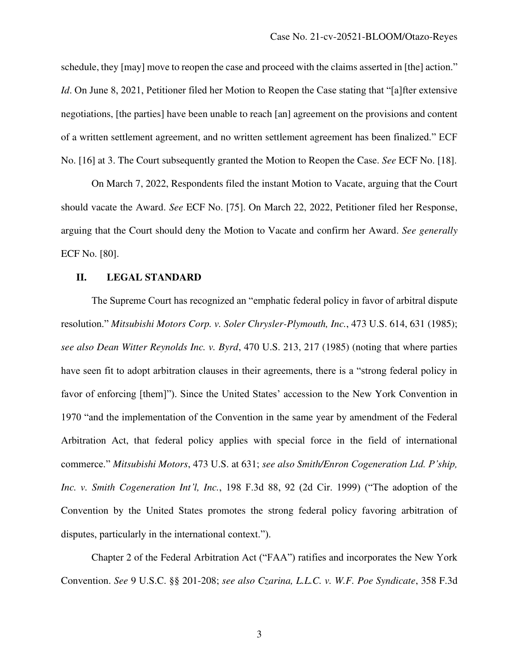schedule, they [may] move to reopen the case and proceed with the claims asserted in [the] action." *Id*. On June 8, 2021, Petitioner filed her Motion to Reopen the Case stating that "[a]fter extensive negotiations, [the parties] have been unable to reach [an] agreement on the provisions and content of a written settlement agreement, and no written settlement agreement has been finalized." ECF No. [16] at 3. The Court subsequently granted the Motion to Reopen the Case. *See* ECF No. [18].

On March 7, 2022, Respondents filed the instant Motion to Vacate, arguing that the Court should vacate the Award. *See* ECF No. [75]. On March 22, 2022, Petitioner filed her Response, arguing that the Court should deny the Motion to Vacate and confirm her Award. *See generally*  ECF No. [80].

## **II. LEGAL STANDARD**

The Supreme Court has recognized an "emphatic federal policy in favor of arbitral dispute resolution." *Mitsubishi Motors Corp. v. Soler Chrysler-Plymouth, Inc.*, 473 U.S. 614, 631 (1985); *see also Dean Witter Reynolds Inc. v. Byrd*, 470 U.S. 213, 217 (1985) (noting that where parties have seen fit to adopt arbitration clauses in their agreements, there is a "strong federal policy in favor of enforcing [them]"). Since the United States' accession to the New York Convention in 1970 "and the implementation of the Convention in the same year by amendment of the Federal Arbitration Act, that federal policy applies with special force in the field of international commerce." *Mitsubishi Motors*, 473 U.S. at 631; *see also Smith/Enron Cogeneration Ltd. P'ship, Inc. v. Smith Cogeneration Int'l, Inc.*, 198 F.3d 88, 92 (2d Cir. 1999) ("The adoption of the Convention by the United States promotes the strong federal policy favoring arbitration of disputes, particularly in the international context.").

Chapter 2 of the Federal Arbitration Act ("FAA") ratifies and incorporates the New York Convention. *See* 9 U.S.C. §§ 201-208; *see also Czarina, L.L.C. v. W.F. Poe Syndicate*, 358 F.3d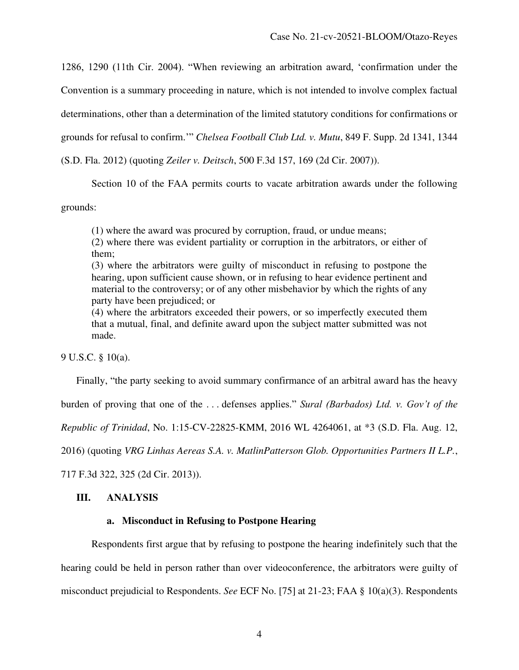1286, 1290 (11th Cir. 2004). "When reviewing an arbitration award, 'confirmation under the

Convention is a summary proceeding in nature, which is not intended to involve complex factual

determinations, other than a determination of the limited statutory conditions for confirmations or

grounds for refusal to confirm.'" *Chelsea Football Club Ltd. v. Mutu*, 849 F. Supp. 2d 1341, 1344

(S.D. Fla. 2012) (quoting *Zeiler v. Deitsch*, 500 F.3d 157, 169 (2d Cir. 2007)).

Section 10 of the FAA permits courts to vacate arbitration awards under the following

grounds:

(1) where the award was procured by corruption, fraud, or undue means;

(2) where there was evident partiality or corruption in the arbitrators, or either of them;

(3) where the arbitrators were guilty of misconduct in refusing to postpone the hearing, upon sufficient cause shown, or in refusing to hear evidence pertinent and material to the controversy; or of any other misbehavior by which the rights of any party have been prejudiced; or

(4) where the arbitrators exceeded their powers, or so imperfectly executed them that a mutual, final, and definite award upon the subject matter submitted was not made.

9 U.S.C. § 10(a).

Finally, "the party seeking to avoid summary confirmance of an arbitral award has the heavy

burden of proving that one of the . . . defenses applies." *Sural (Barbados) Ltd. v. Gov't of the* 

*Republic of Trinidad*, No. 1:15-CV-22825-KMM, 2016 WL 4264061, at \*3 (S.D. Fla. Aug. 12,

2016) (quoting *VRG Linhas Aereas S.A. v. MatlinPatterson Glob. Opportunities Partners II L.P.*,

717 F.3d 322, 325 (2d Cir. 2013)).

## **III. ANALYSIS**

## **a. Misconduct in Refusing to Postpone Hearing**

Respondents first argue that by refusing to postpone the hearing indefinitely such that the hearing could be held in person rather than over videoconference, the arbitrators were guilty of misconduct prejudicial to Respondents. *See* ECF No. [75] at 21-23; FAA § 10(a)(3). Respondents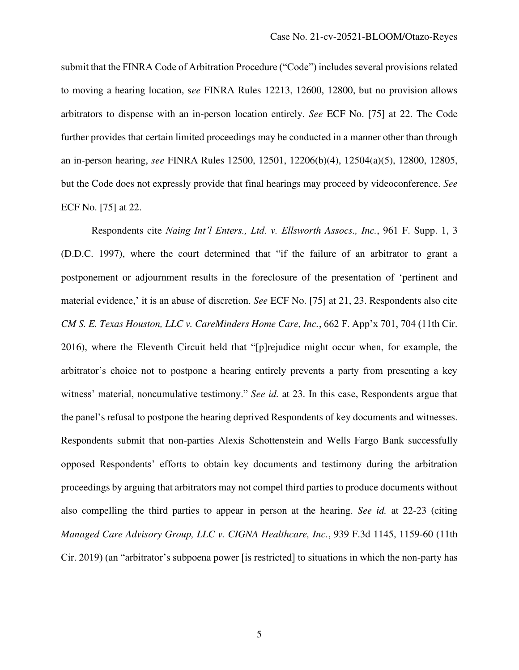submit that the FINRA Code of Arbitration Procedure ("Code") includes several provisions related to moving a hearing location, s*ee* FINRA Rules 12213, 12600, 12800, but no provision allows arbitrators to dispense with an in-person location entirely. *See* ECF No. [75] at 22. The Code further provides that certain limited proceedings may be conducted in a manner other than through an in-person hearing, *see* FINRA Rules 12500, 12501, 12206(b)(4), 12504(a)(5), 12800, 12805, but the Code does not expressly provide that final hearings may proceed by videoconference. *See*  ECF No. [75] at 22.

Respondents cite *Naing Int'l Enters., Ltd. v. Ellsworth Assocs., Inc.*, 961 F. Supp. 1, 3 (D.D.C. 1997), where the court determined that "if the failure of an arbitrator to grant a postponement or adjournment results in the foreclosure of the presentation of 'pertinent and material evidence,' it is an abuse of discretion. *See* ECF No. [75] at 21, 23. Respondents also cite *CM S. E. Texas Houston, LLC v. CareMinders Home Care, Inc.*, 662 F. App'x 701, 704 (11th Cir. 2016), where the Eleventh Circuit held that "[p]rejudice might occur when, for example, the arbitrator's choice not to postpone a hearing entirely prevents a party from presenting a key witness' material, noncumulative testimony." *See id.* at 23. In this case, Respondents argue that the panel's refusal to postpone the hearing deprived Respondents of key documents and witnesses. Respondents submit that non-parties Alexis Schottenstein and Wells Fargo Bank successfully opposed Respondents' efforts to obtain key documents and testimony during the arbitration proceedings by arguing that arbitrators may not compel third parties to produce documents without also compelling the third parties to appear in person at the hearing. *See id.* at 22-23 (citing *Managed Care Advisory Group, LLC v. CIGNA Healthcare, Inc.*, 939 F.3d 1145, 1159-60 (11th Cir. 2019) (an "arbitrator's subpoena power [is restricted] to situations in which the non-party has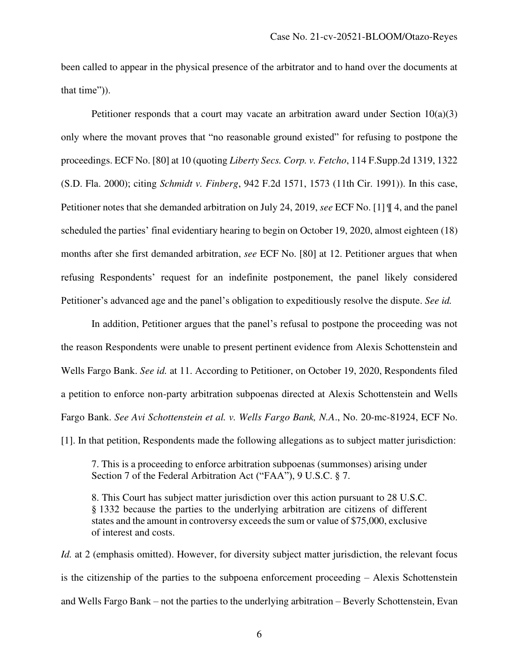been called to appear in the physical presence of the arbitrator and to hand over the documents at that time")).

Petitioner responds that a court may vacate an arbitration award under Section  $10(a)(3)$ only where the movant proves that "no reasonable ground existed" for refusing to postpone the proceedings. ECF No. [80] at 10 (quoting *Liberty Secs. Corp. v. Fetcho*, 114 F.Supp.2d 1319, 1322 (S.D. Fla. 2000); citing *Schmidt v. Finberg*, 942 F.2d 1571, 1573 (11th Cir. 1991)). In this case, Petitioner notes that she demanded arbitration on July 24, 2019, *see* ECF No. [1] ¶ 4, and the panel scheduled the parties' final evidentiary hearing to begin on October 19, 2020, almost eighteen (18) months after she first demanded arbitration, *see* ECF No. [80] at 12. Petitioner argues that when refusing Respondents' request for an indefinite postponement, the panel likely considered Petitioner's advanced age and the panel's obligation to expeditiously resolve the dispute. *See id.*

In addition, Petitioner argues that the panel's refusal to postpone the proceeding was not the reason Respondents were unable to present pertinent evidence from Alexis Schottenstein and Wells Fargo Bank. *See id.* at 11. According to Petitioner, on October 19, 2020, Respondents filed a petition to enforce non-party arbitration subpoenas directed at Alexis Schottenstein and Wells Fargo Bank. *See Avi Schottenstein et al. v. Wells Fargo Bank, N.A*., No. 20-mc-81924, ECF No. [1]. In that petition, Respondents made the following allegations as to subject matter jurisdiction:

7. This is a proceeding to enforce arbitration subpoenas (summonses) arising under Section 7 of the Federal Arbitration Act ("FAA"), 9 U.S.C. § 7.

8. This Court has subject matter jurisdiction over this action pursuant to 28 U.S.C. § 1332 because the parties to the underlying arbitration are citizens of different states and the amount in controversy exceeds the sum or value of \$75,000, exclusive of interest and costs.

*Id.* at 2 (emphasis omitted). However, for diversity subject matter jurisdiction, the relevant focus is the citizenship of the parties to the subpoena enforcement proceeding – Alexis Schottenstein and Wells Fargo Bank – not the parties to the underlying arbitration – Beverly Schottenstein, Evan

6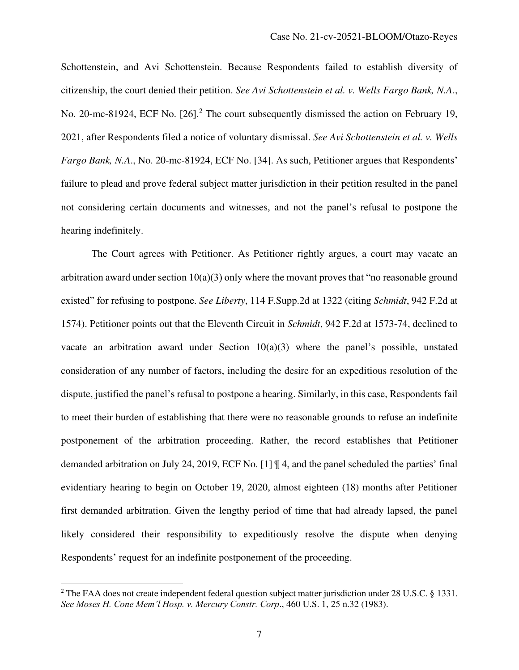Schottenstein, and Avi Schottenstein. Because Respondents failed to establish diversity of citizenship, the court denied their petition. *See Avi Schottenstein et al. v. Wells Fargo Bank, N.A*., No. 20-mc-81924, ECF No. [26].<sup>2</sup> The court subsequently dismissed the action on February 19, 2021, after Respondents filed a notice of voluntary dismissal. *See Avi Schottenstein et al. v. Wells Fargo Bank, N.A*., No. 20-mc-81924, ECF No. [34]. As such, Petitioner argues that Respondents' failure to plead and prove federal subject matter jurisdiction in their petition resulted in the panel not considering certain documents and witnesses, and not the panel's refusal to postpone the hearing indefinitely.

The Court agrees with Petitioner. As Petitioner rightly argues, a court may vacate an arbitration award under section  $10(a)(3)$  only where the movant proves that "no reasonable ground existed" for refusing to postpone. *See Liberty*, 114 F.Supp.2d at 1322 (citing *Schmidt*, 942 F.2d at 1574). Petitioner points out that the Eleventh Circuit in *Schmidt*, 942 F.2d at 1573-74, declined to vacate an arbitration award under Section 10(a)(3) where the panel's possible, unstated consideration of any number of factors, including the desire for an expeditious resolution of the dispute, justified the panel's refusal to postpone a hearing. Similarly, in this case, Respondents fail to meet their burden of establishing that there were no reasonable grounds to refuse an indefinite postponement of the arbitration proceeding. Rather, the record establishes that Petitioner demanded arbitration on July 24, 2019, ECF No. [1] ¶ 4, and the panel scheduled the parties' final evidentiary hearing to begin on October 19, 2020, almost eighteen (18) months after Petitioner first demanded arbitration. Given the lengthy period of time that had already lapsed, the panel likely considered their responsibility to expeditiously resolve the dispute when denying Respondents' request for an indefinite postponement of the proceeding.

<sup>&</sup>lt;sup>2</sup> The FAA does not create independent federal question subject matter jurisdiction under 28 U.S.C. § 1331. *See Moses H. Cone Mem'l Hosp. v. Mercury Constr. Corp*., 460 U.S. 1, 25 n.32 (1983).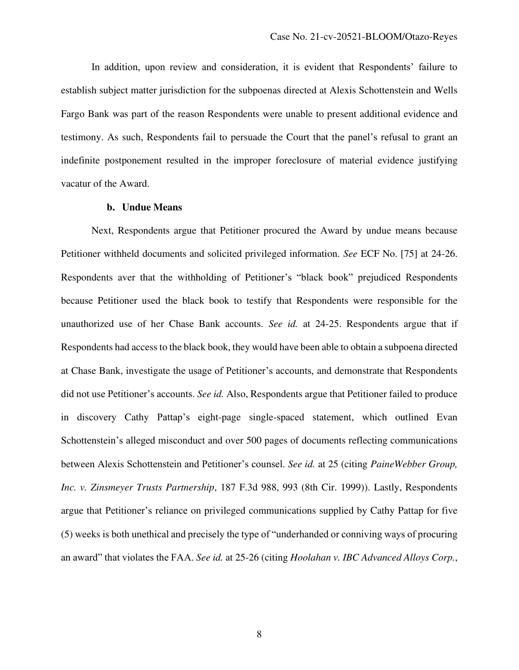In addition, upon review and consideration, it is evident that Respondents' failure to establish subject matter jurisdiction for the subpoenas directed at Alexis Schottenstein and Wells Fargo Bank was part of the reason Respondents were unable to present additional evidence and testimony. As such, Respondents fail to persuade the Court that the panel's refusal to grant an indefinite postponement resulted in the improper foreclosure of material evidence justifying vacatur of the Award.

#### **b. Undue Means**

Next, Respondents argue that Petitioner procured the Award by undue means because Petitioner withheld documents and solicited privileged information. *See* ECF No. [75] at 24-26. Respondents aver that the withholding of Petitioner's "black book" prejudiced Respondents because Petitioner used the black book to testify that Respondents were responsible for the unauthorized use of her Chase Bank accounts. *See id.* at 24-25. Respondents argue that if Respondents had access to the black book, they would have been able to obtain a subpoena directed at Chase Bank, investigate the usage of Petitioner's accounts, and demonstrate that Respondents did not use Petitioner's accounts. *See id.* Also, Respondents argue that Petitioner failed to produce in discovery Cathy Pattap's eight-page single-spaced statement, which outlined Evan Schottenstein's alleged misconduct and over 500 pages of documents reflecting communications between Alexis Schottenstein and Petitioner's counsel. *See id.* at 25 (citing *PaineWebber Group, Inc. v. Zinsmeyer Trusts Partnership*, 187 F.3d 988, 993 (8th Cir. 1999)). Lastly, Respondents argue that Petitioner's reliance on privileged communications supplied by Cathy Pattap for five (5) weeks is both unethical and precisely the type of "underhanded or conniving ways of procuring an award" that violates the FAA. *See id.* at 25-26 (citing *Hoolahan v. IBC Advanced Alloys Corp.*,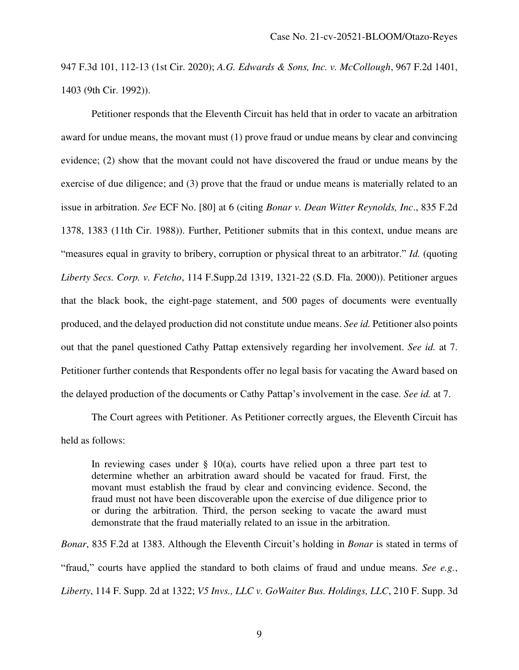947 F.3d 101, 112-13 (1st Cir. 2020); *A.G. Edwards & Sons, Inc. v. McCollough*, 967 F.2d 1401, 1403 (9th Cir. 1992)).

Petitioner responds that the Eleventh Circuit has held that in order to vacate an arbitration award for undue means, the movant must (1) prove fraud or undue means by clear and convincing evidence; (2) show that the movant could not have discovered the fraud or undue means by the exercise of due diligence; and (3) prove that the fraud or undue means is materially related to an issue in arbitration. *See* ECF No. [80] at 6 (citing *Bonar v. Dean Witter Reynolds, Inc*., 835 F.2d 1378, 1383 (11th Cir. 1988)). Further, Petitioner submits that in this context, undue means are "measures equal in gravity to bribery, corruption or physical threat to an arbitrator." *Id.* (quoting *Liberty Secs. Corp. v. Fetcho*, 114 F.Supp.2d 1319, 1321-22 (S.D. Fla. 2000)). Petitioner argues that the black book, the eight-page statement, and 500 pages of documents were eventually produced, and the delayed production did not constitute undue means. *See id.* Petitioner also points out that the panel questioned Cathy Pattap extensively regarding her involvement. *See id.* at 7. Petitioner further contends that Respondents offer no legal basis for vacating the Award based on the delayed production of the documents or Cathy Pattap's involvement in the case. *See id.* at 7.

The Court agrees with Petitioner. As Petitioner correctly argues, the Eleventh Circuit has held as follows:

In reviewing cases under  $\S$  10(a), courts have relied upon a three part test to determine whether an arbitration award should be vacated for fraud. First, the movant must establish the fraud by clear and convincing evidence. Second, the fraud must not have been discoverable upon the exercise of due diligence prior to or during the arbitration. Third, the person seeking to vacate the award must demonstrate that the fraud materially related to an issue in the arbitration.

*Bonar*, 835 F.2d at 1383. Although the Eleventh Circuit's holding in *Bonar* is stated in terms of "fraud," courts have applied the standard to both claims of fraud and undue means. *See e.g.*, *Liberty*, 114 F. Supp. 2d at 1322; *V5 Invs., LLC v. GoWaiter Bus. Holdings, LLC*, 210 F. Supp. 3d

9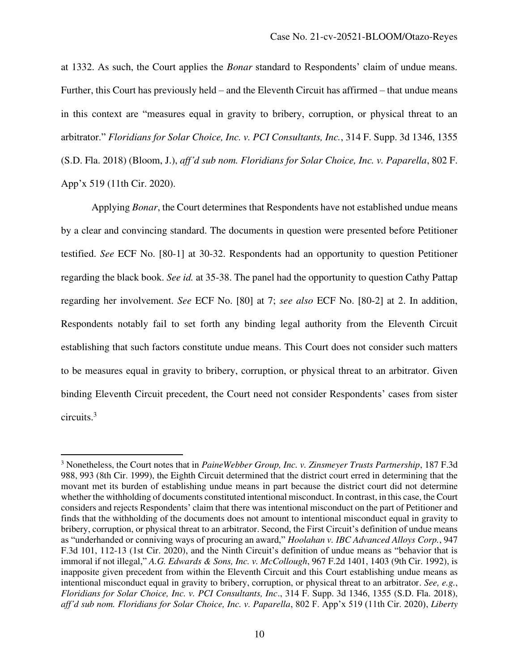at 1332. As such, the Court applies the *Bonar* standard to Respondents' claim of undue means. Further, this Court has previously held – and the Eleventh Circuit has affirmed – that undue means in this context are "measures equal in gravity to bribery, corruption, or physical threat to an arbitrator." *Floridians for Solar Choice, Inc. v. PCI Consultants, Inc.*, 314 F. Supp. 3d 1346, 1355 (S.D. Fla. 2018) (Bloom, J.), *aff'd sub nom. Floridians for Solar Choice, Inc. v. Paparella*, 802 F. App'x 519 (11th Cir. 2020).

Applying *Bonar*, the Court determines that Respondents have not established undue means by a clear and convincing standard. The documents in question were presented before Petitioner testified. *See* ECF No. [80-1] at 30-32. Respondents had an opportunity to question Petitioner regarding the black book. *See id.* at 35-38. The panel had the opportunity to question Cathy Pattap regarding her involvement. *See* ECF No. [80] at 7; *see also* ECF No. [80-2] at 2. In addition, Respondents notably fail to set forth any binding legal authority from the Eleventh Circuit establishing that such factors constitute undue means. This Court does not consider such matters to be measures equal in gravity to bribery, corruption, or physical threat to an arbitrator. Given binding Eleventh Circuit precedent, the Court need not consider Respondents' cases from sister circuits.<sup>3</sup>

<sup>3</sup> Nonetheless, the Court notes that in *PaineWebber Group, Inc. v. Zinsmeyer Trusts Partnership*, 187 F.3d 988, 993 (8th Cir. 1999), the Eighth Circuit determined that the district court erred in determining that the movant met its burden of establishing undue means in part because the district court did not determine whether the withholding of documents constituted intentional misconduct. In contrast, in this case, the Court considers and rejects Respondents' claim that there was intentional misconduct on the part of Petitioner and finds that the withholding of the documents does not amount to intentional misconduct equal in gravity to bribery, corruption, or physical threat to an arbitrator. Second, the First Circuit's definition of undue means as "underhanded or conniving ways of procuring an award," *Hoolahan v. IBC Advanced Alloys Corp.*, 947 F.3d 101, 112-13 (1st Cir. 2020), and the Ninth Circuit's definition of undue means as "behavior that is immoral if not illegal," *A.G. Edwards & Sons, Inc. v. McCollough*, 967 F.2d 1401, 1403 (9th Cir. 1992), is inapposite given precedent from within the Eleventh Circuit and this Court establishing undue means as intentional misconduct equal in gravity to bribery, corruption, or physical threat to an arbitrator. *See, e.g.*, *Floridians for Solar Choice, Inc. v. PCI Consultants, Inc*., 314 F. Supp. 3d 1346, 1355 (S.D. Fla. 2018), *aff'd sub nom. Floridians for Solar Choice, Inc. v. Paparella*, 802 F. App'x 519 (11th Cir. 2020), *Liberty*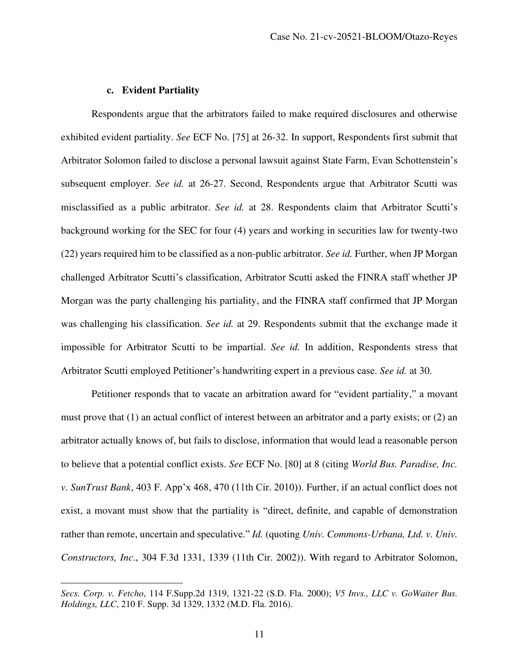### **c. Evident Partiality**

Respondents argue that the arbitrators failed to make required disclosures and otherwise exhibited evident partiality. *See* ECF No. [75] at 26-32. In support, Respondents first submit that Arbitrator Solomon failed to disclose a personal lawsuit against State Farm, Evan Schottenstein's subsequent employer. *See id.* at 26-27. Second, Respondents argue that Arbitrator Scutti was misclassified as a public arbitrator. *See id.* at 28. Respondents claim that Arbitrator Scutti's background working for the SEC for four (4) years and working in securities law for twenty-two (22) years required him to be classified as a non-public arbitrator. *See id.* Further, when JP Morgan challenged Arbitrator Scutti's classification, Arbitrator Scutti asked the FINRA staff whether JP Morgan was the party challenging his partiality, and the FINRA staff confirmed that JP Morgan was challenging his classification. *See id.* at 29. Respondents submit that the exchange made it impossible for Arbitrator Scutti to be impartial. *See id.* In addition, Respondents stress that Arbitrator Scutti employed Petitioner's handwriting expert in a previous case. *See id.* at 30.

Petitioner responds that to vacate an arbitration award for "evident partiality," a movant must prove that (1) an actual conflict of interest between an arbitrator and a party exists; or (2) an arbitrator actually knows of, but fails to disclose, information that would lead a reasonable person to believe that a potential conflict exists. *See* ECF No. [80] at 8 (citing *World Bus. Paradise, Inc. v. SunTrust Bank*, 403 F. App'x 468, 470 (11th Cir. 2010)). Further, if an actual conflict does not exist, a movant must show that the partiality is "direct, definite, and capable of demonstration rather than remote, uncertain and speculative." *Id.* (quoting *Univ. Commons-Urbana, Ltd. v. Univ. Constructors, Inc*., 304 F.3d 1331, 1339 (11th Cir. 2002)). With regard to Arbitrator Solomon,

*Secs. Corp. v. Fetcho*, 114 F.Supp.2d 1319, 1321-22 (S.D. Fla. 2000); *V5 Invs., LLC v. GoWaiter Bus. Holdings, LLC*, 210 F. Supp. 3d 1329, 1332 (M.D. Fla. 2016).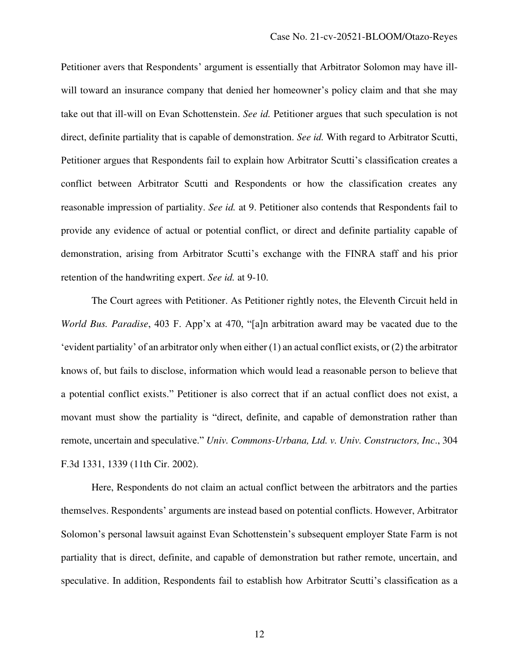Petitioner avers that Respondents' argument is essentially that Arbitrator Solomon may have illwill toward an insurance company that denied her homeowner's policy claim and that she may take out that ill-will on Evan Schottenstein. *See id.* Petitioner argues that such speculation is not direct, definite partiality that is capable of demonstration. *See id.* With regard to Arbitrator Scutti, Petitioner argues that Respondents fail to explain how Arbitrator Scutti's classification creates a conflict between Arbitrator Scutti and Respondents or how the classification creates any reasonable impression of partiality. *See id.* at 9. Petitioner also contends that Respondents fail to provide any evidence of actual or potential conflict, or direct and definite partiality capable of demonstration, arising from Arbitrator Scutti's exchange with the FINRA staff and his prior retention of the handwriting expert. *See id.* at 9-10.

The Court agrees with Petitioner. As Petitioner rightly notes, the Eleventh Circuit held in *World Bus. Paradise*, 403 F. App'x at 470, "[a]n arbitration award may be vacated due to the 'evident partiality' of an arbitrator only when either (1) an actual conflict exists, or (2) the arbitrator knows of, but fails to disclose, information which would lead a reasonable person to believe that a potential conflict exists." Petitioner is also correct that if an actual conflict does not exist, a movant must show the partiality is "direct, definite, and capable of demonstration rather than remote, uncertain and speculative." *Univ. Commons-Urbana, Ltd. v. Univ. Constructors, Inc*., 304 F.3d 1331, 1339 (11th Cir. 2002).

Here, Respondents do not claim an actual conflict between the arbitrators and the parties themselves. Respondents' arguments are instead based on potential conflicts. However, Arbitrator Solomon's personal lawsuit against Evan Schottenstein's subsequent employer State Farm is not partiality that is direct, definite, and capable of demonstration but rather remote, uncertain, and speculative. In addition, Respondents fail to establish how Arbitrator Scutti's classification as a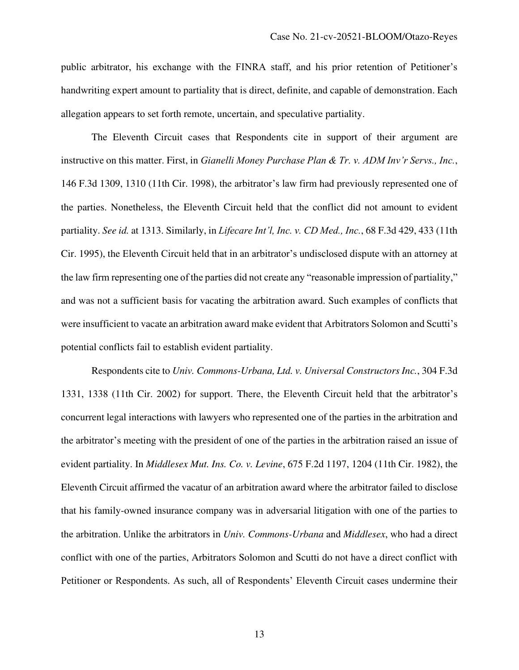public arbitrator, his exchange with the FINRA staff, and his prior retention of Petitioner's handwriting expert amount to partiality that is direct, definite, and capable of demonstration. Each allegation appears to set forth remote, uncertain, and speculative partiality.

The Eleventh Circuit cases that Respondents cite in support of their argument are instructive on this matter. First, in *Gianelli Money Purchase Plan & Tr. v. ADM Inv'r Servs., Inc.*, 146 F.3d 1309, 1310 (11th Cir. 1998), the arbitrator's law firm had previously represented one of the parties. Nonetheless, the Eleventh Circuit held that the conflict did not amount to evident partiality. *See id.* at 1313. Similarly, in *Lifecare Int'l, Inc. v. CD Med., Inc.*, 68 F.3d 429, 433 (11th Cir. 1995), the Eleventh Circuit held that in an arbitrator's undisclosed dispute with an attorney at the law firm representing one of the parties did not create any "reasonable impression of partiality," and was not a sufficient basis for vacating the arbitration award. Such examples of conflicts that were insufficient to vacate an arbitration award make evident that Arbitrators Solomon and Scutti's potential conflicts fail to establish evident partiality.

Respondents cite to *Univ. Commons-Urbana, Ltd. v. Universal Constructors Inc.*, 304 F.3d 1331, 1338 (11th Cir. 2002) for support. There, the Eleventh Circuit held that the arbitrator's concurrent legal interactions with lawyers who represented one of the parties in the arbitration and the arbitrator's meeting with the president of one of the parties in the arbitration raised an issue of evident partiality. In *Middlesex Mut. Ins. Co. v. Levine*, 675 F.2d 1197, 1204 (11th Cir. 1982), the Eleventh Circuit affirmed the vacatur of an arbitration award where the arbitrator failed to disclose that his family-owned insurance company was in adversarial litigation with one of the parties to the arbitration. Unlike the arbitrators in *Univ. Commons-Urbana* and *Middlesex*, who had a direct conflict with one of the parties, Arbitrators Solomon and Scutti do not have a direct conflict with Petitioner or Respondents. As such, all of Respondents' Eleventh Circuit cases undermine their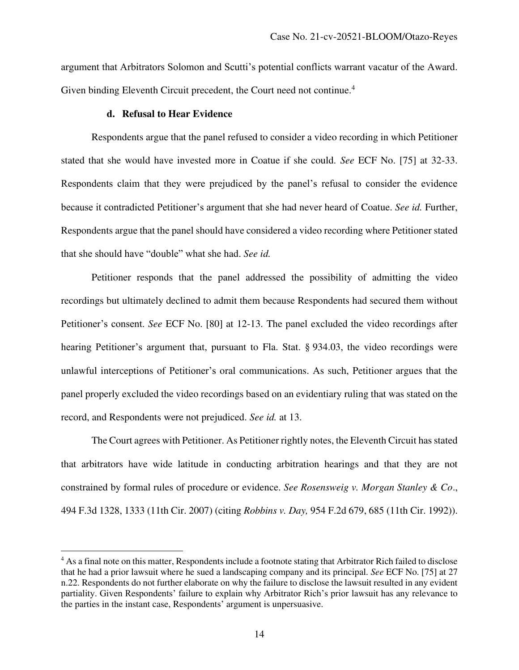argument that Arbitrators Solomon and Scutti's potential conflicts warrant vacatur of the Award. Given binding Eleventh Circuit precedent, the Court need not continue.<sup>4</sup>

#### **d. Refusal to Hear Evidence**

Respondents argue that the panel refused to consider a video recording in which Petitioner stated that she would have invested more in Coatue if she could. *See* ECF No. [75] at 32-33. Respondents claim that they were prejudiced by the panel's refusal to consider the evidence because it contradicted Petitioner's argument that she had never heard of Coatue. *See id.* Further, Respondents argue that the panel should have considered a video recording where Petitioner stated that she should have "double" what she had. *See id.* 

Petitioner responds that the panel addressed the possibility of admitting the video recordings but ultimately declined to admit them because Respondents had secured them without Petitioner's consent. *See* ECF No. [80] at 12-13. The panel excluded the video recordings after hearing Petitioner's argument that, pursuant to Fla. Stat. § 934.03, the video recordings were unlawful interceptions of Petitioner's oral communications. As such, Petitioner argues that the panel properly excluded the video recordings based on an evidentiary ruling that was stated on the record, and Respondents were not prejudiced. *See id.* at 13.

The Court agrees with Petitioner. As Petitioner rightly notes, the Eleventh Circuit has stated that arbitrators have wide latitude in conducting arbitration hearings and that they are not constrained by formal rules of procedure or evidence. *See Rosensweig v. Morgan Stanley & Co*., 494 F.3d 1328, 1333 (11th Cir. 2007) (citing *Robbins v. Day,* 954 F.2d 679, 685 (11th Cir. 1992)).

<sup>&</sup>lt;sup>4</sup> As a final note on this matter, Respondents include a footnote stating that Arbitrator Rich failed to disclose that he had a prior lawsuit where he sued a landscaping company and its principal. *See* ECF No. [75] at 27 n.22. Respondents do not further elaborate on why the failure to disclose the lawsuit resulted in any evident partiality. Given Respondents' failure to explain why Arbitrator Rich's prior lawsuit has any relevance to the parties in the instant case, Respondents' argument is unpersuasive.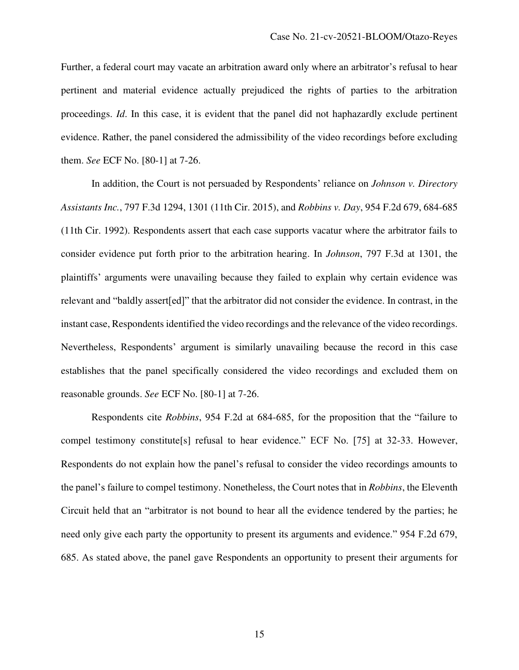Further, a federal court may vacate an arbitration award only where an arbitrator's refusal to hear pertinent and material evidence actually prejudiced the rights of parties to the arbitration proceedings. *Id*. In this case, it is evident that the panel did not haphazardly exclude pertinent evidence. Rather, the panel considered the admissibility of the video recordings before excluding them. *See* ECF No. [80-1] at 7-26.

In addition, the Court is not persuaded by Respondents' reliance on *Johnson v. Directory Assistants Inc.*, 797 F.3d 1294, 1301 (11th Cir. 2015), and *Robbins v. Day*, 954 F.2d 679, 684-685 (11th Cir. 1992). Respondents assert that each case supports vacatur where the arbitrator fails to consider evidence put forth prior to the arbitration hearing. In *Johnson*, 797 F.3d at 1301, the plaintiffs' arguments were unavailing because they failed to explain why certain evidence was relevant and "baldly assert[ed]" that the arbitrator did not consider the evidence. In contrast, in the instant case, Respondents identified the video recordings and the relevance of the video recordings. Nevertheless, Respondents' argument is similarly unavailing because the record in this case establishes that the panel specifically considered the video recordings and excluded them on reasonable grounds. *See* ECF No. [80-1] at 7-26.

Respondents cite *Robbins*, 954 F.2d at 684-685, for the proposition that the "failure to compel testimony constitute[s] refusal to hear evidence." ECF No. [75] at 32-33. However, Respondents do not explain how the panel's refusal to consider the video recordings amounts to the panel's failure to compel testimony. Nonetheless, the Court notes that in *Robbins*, the Eleventh Circuit held that an "arbitrator is not bound to hear all the evidence tendered by the parties; he need only give each party the opportunity to present its arguments and evidence." 954 F.2d 679, 685. As stated above, the panel gave Respondents an opportunity to present their arguments for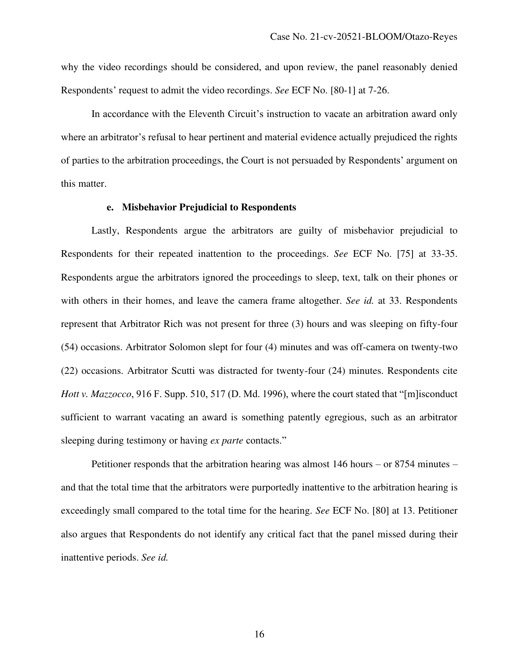why the video recordings should be considered, and upon review, the panel reasonably denied Respondents' request to admit the video recordings. *See* ECF No. [80-1] at 7-26.

In accordance with the Eleventh Circuit's instruction to vacate an arbitration award only where an arbitrator's refusal to hear pertinent and material evidence actually prejudiced the rights of parties to the arbitration proceedings, the Court is not persuaded by Respondents' argument on this matter.

#### **e. Misbehavior Prejudicial to Respondents**

Lastly, Respondents argue the arbitrators are guilty of misbehavior prejudicial to Respondents for their repeated inattention to the proceedings. *See* ECF No. [75] at 33-35. Respondents argue the arbitrators ignored the proceedings to sleep, text, talk on their phones or with others in their homes, and leave the camera frame altogether. *See id.* at 33. Respondents represent that Arbitrator Rich was not present for three (3) hours and was sleeping on fifty-four (54) occasions. Arbitrator Solomon slept for four (4) minutes and was off-camera on twenty-two (22) occasions. Arbitrator Scutti was distracted for twenty-four (24) minutes. Respondents cite *Hott v. Mazzocco*, 916 F. Supp. 510, 517 (D. Md. 1996), where the court stated that "[m]isconduct sufficient to warrant vacating an award is something patently egregious, such as an arbitrator sleeping during testimony or having *ex parte* contacts."

Petitioner responds that the arbitration hearing was almost 146 hours – or 8754 minutes – and that the total time that the arbitrators were purportedly inattentive to the arbitration hearing is exceedingly small compared to the total time for the hearing. *See* ECF No. [80] at 13. Petitioner also argues that Respondents do not identify any critical fact that the panel missed during their inattentive periods. *See id.*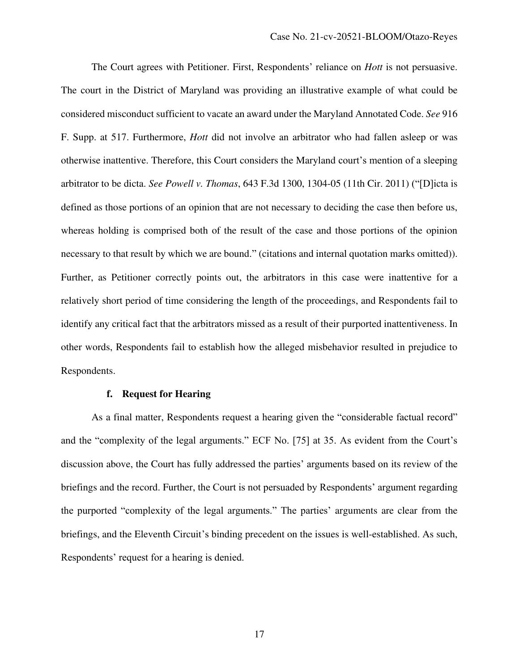The Court agrees with Petitioner. First, Respondents' reliance on *Hott* is not persuasive. The court in the District of Maryland was providing an illustrative example of what could be considered misconduct sufficient to vacate an award under the Maryland Annotated Code. *See* 916 F. Supp. at 517. Furthermore, *Hott* did not involve an arbitrator who had fallen asleep or was otherwise inattentive. Therefore, this Court considers the Maryland court's mention of a sleeping arbitrator to be dicta. *See Powell v. Thomas*, 643 F.3d 1300, 1304-05 (11th Cir. 2011) ("[D]icta is defined as those portions of an opinion that are not necessary to deciding the case then before us, whereas holding is comprised both of the result of the case and those portions of the opinion necessary to that result by which we are bound." (citations and internal quotation marks omitted)). Further, as Petitioner correctly points out, the arbitrators in this case were inattentive for a relatively short period of time considering the length of the proceedings, and Respondents fail to identify any critical fact that the arbitrators missed as a result of their purported inattentiveness. In other words, Respondents fail to establish how the alleged misbehavior resulted in prejudice to Respondents.

## **f. Request for Hearing**

As a final matter, Respondents request a hearing given the "considerable factual record" and the "complexity of the legal arguments." ECF No. [75] at 35. As evident from the Court's discussion above, the Court has fully addressed the parties' arguments based on its review of the briefings and the record. Further, the Court is not persuaded by Respondents' argument regarding the purported "complexity of the legal arguments." The parties' arguments are clear from the briefings, and the Eleventh Circuit's binding precedent on the issues is well-established. As such, Respondents' request for a hearing is denied.